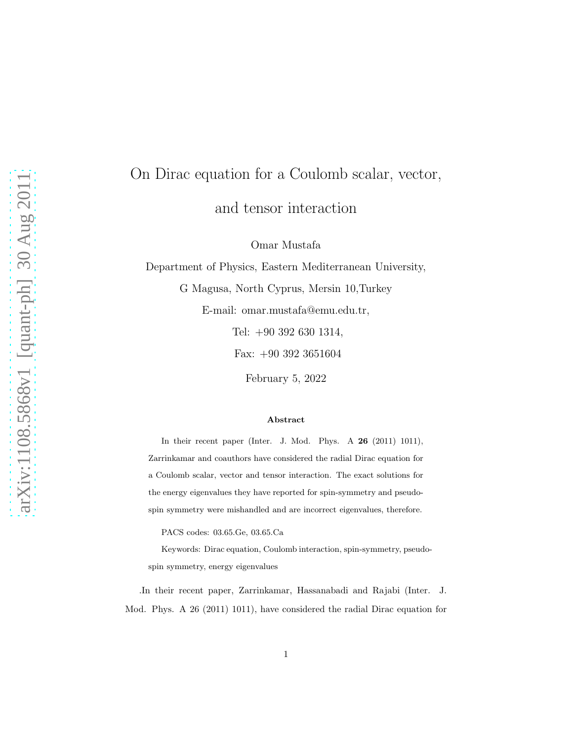## On Dirac equation for a Coulomb scalar, vector, and tensor interaction

Omar Mustafa

Department of Physics, Eastern Mediterranean University,

G Magusa, North Cyprus, Mersin 10,Turkey

E-mail: omar.mustafa@emu.edu.tr,

Tel: +90 392 630 1314,

Fax: +90 392 3651604

February 5, 2022

## Abstract

In their recent paper (Inter. J. Mod. Phys. A 26 (2011) 1011), Zarrinkamar and coauthors have considered the radial Dirac equation for a Coulomb scalar, vector and tensor interaction. The exact solutions for the energy eigenvalues they have reported for spin-symmetry and pseudospin symmetry were mishandled and are incorrect eigenvalues, therefore.

PACS codes: 03.65.Ge, 03.65.Ca

Keywords: Dirac equation, Coulomb interaction, spin-symmetry, pseudospin symmetry, energy eigenvalues

.In their recent paper, Zarrinkamar, Hassanabadi and Rajabi (Inter. J. Mod. Phys. A 26 (2011) 1011), have considered the radial Dirac equation for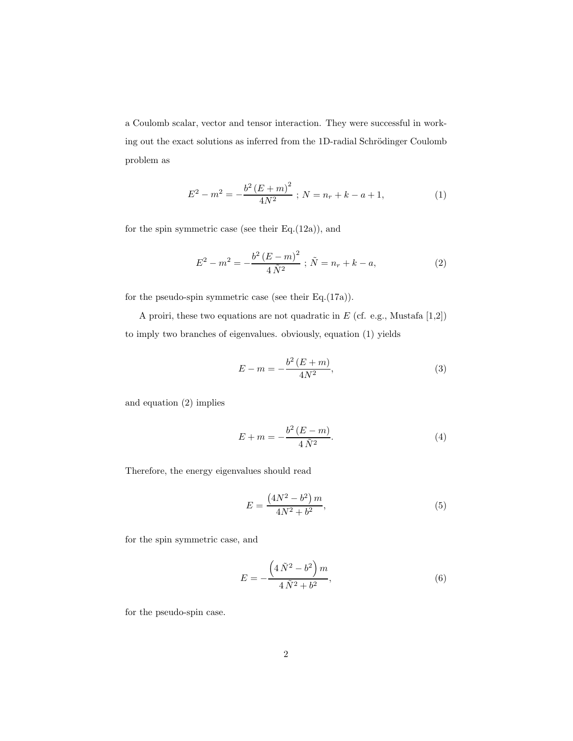a Coulomb scalar, vector and tensor interaction. They were successful in working out the exact solutions as inferred from the 1D-radial Schrödinger Coulomb problem as

$$
E^{2} - m^{2} = -\frac{b^{2} (E + m)^{2}}{4N^{2}} ; N = n_{r} + k - a + 1,
$$
 (1)

for the spin symmetric case (see their  $Eq.(12a)$ ), and

$$
E^{2} - m^{2} = -\frac{b^{2} (E - m)^{2}}{4 \tilde{N}^{2}} ; \tilde{N} = n_{r} + k - a,
$$
 (2)

for the pseudo-spin symmetric case (see their Eq.(17a)).

A proiri, these two equations are not quadratic in  $E$  (cf. e.g., Mustafa  $[1,\!2])$ to imply two branches of eigenvalues. obviously, equation (1) yields

$$
E - m = -\frac{b^2 (E + m)}{4N^2},
$$
\n(3)

and equation (2) implies

$$
E + m = -\frac{b^2 (E - m)}{4 \tilde{N}^2}.
$$
 (4)

Therefore, the energy eigenvalues should read

$$
E = \frac{(4N^2 - b^2)m}{4N^2 + b^2},\tag{5}
$$

for the spin symmetric case, and

$$
E = -\frac{\left(4\,\tilde{N}^2 - b^2\right)m}{4\,\tilde{N}^2 + b^2},\tag{6}
$$

for the pseudo-spin case.